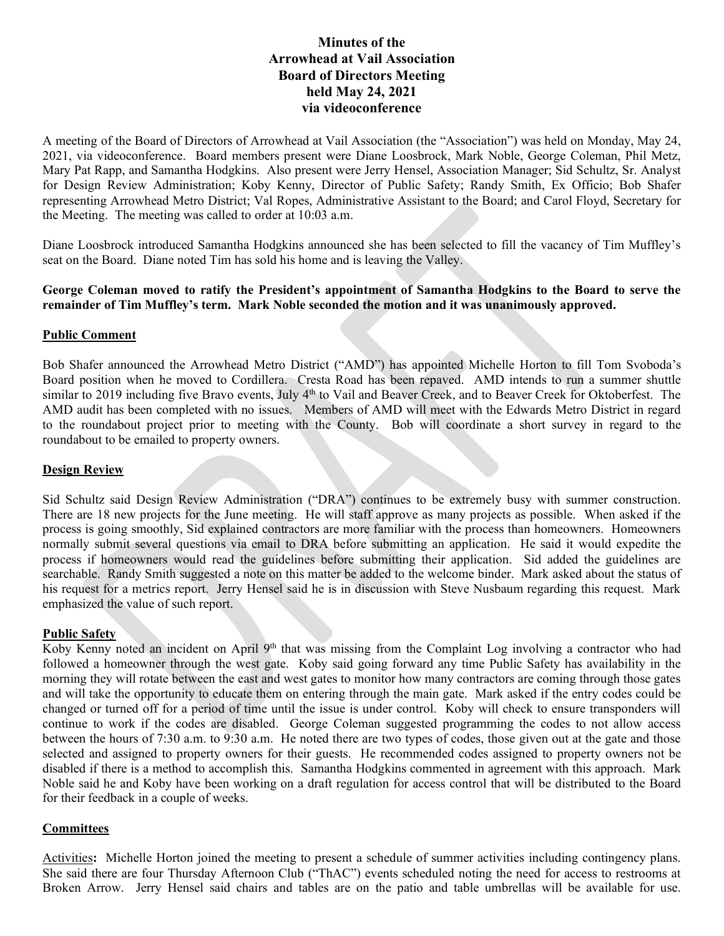# **Minutes of the Arrowhead at Vail Association Board of Directors Meeting held May 24, 2021 via videoconference**

A meeting of the Board of Directors of Arrowhead at Vail Association (the "Association") was held on Monday, May 24, 2021, via videoconference. Board members present were Diane Loosbrock, Mark Noble, George Coleman, Phil Metz, Mary Pat Rapp, and Samantha Hodgkins. Also present were Jerry Hensel, Association Manager; Sid Schultz, Sr. Analyst for Design Review Administration; Koby Kenny, Director of Public Safety; Randy Smith, Ex Officio; Bob Shafer representing Arrowhead Metro District; Val Ropes, Administrative Assistant to the Board; and Carol Floyd, Secretary for the Meeting. The meeting was called to order at 10:03 a.m.

Diane Loosbrock introduced Samantha Hodgkins announced she has been selected to fill the vacancy of Tim Muffley's seat on the Board. Diane noted Tim has sold his home and is leaving the Valley.

#### **George Coleman moved to ratify the President's appointment of Samantha Hodgkins to the Board to serve the remainder of Tim Muffley's term. Mark Noble seconded the motion and it was unanimously approved.**

## **Public Comment**

Bob Shafer announced the Arrowhead Metro District ("AMD") has appointed Michelle Horton to fill Tom Svoboda's Board position when he moved to Cordillera. Cresta Road has been repaved. AMD intends to run a summer shuttle similar to 2019 including five Bravo events, July 4<sup>th</sup> to Vail and Beaver Creek, and to Beaver Creek for Oktoberfest. The AMD audit has been completed with no issues. Members of AMD will meet with the Edwards Metro District in regard to the roundabout project prior to meeting with the County. Bob will coordinate a short survey in regard to the roundabout to be emailed to property owners.

#### **Design Review**

Sid Schultz said Design Review Administration ("DRA") continues to be extremely busy with summer construction. There are 18 new projects for the June meeting. He will staff approve as many projects as possible. When asked if the process is going smoothly, Sid explained contractors are more familiar with the process than homeowners. Homeowners normally submit several questions via email to DRA before submitting an application. He said it would expedite the process if homeowners would read the guidelines before submitting their application. Sid added the guidelines are searchable. Randy Smith suggested a note on this matter be added to the welcome binder. Mark asked about the status of his request for a metrics report. Jerry Hensel said he is in discussion with Steve Nusbaum regarding this request. Mark emphasized the value of such report.

#### **Public Safety**

Koby Kenny noted an incident on April 9<sup>th</sup> that was missing from the Complaint Log involving a contractor who had followed a homeowner through the west gate. Koby said going forward any time Public Safety has availability in the morning they will rotate between the east and west gates to monitor how many contractors are coming through those gates and will take the opportunity to educate them on entering through the main gate. Mark asked if the entry codes could be changed or turned off for a period of time until the issue is under control. Koby will check to ensure transponders will continue to work if the codes are disabled. George Coleman suggested programming the codes to not allow access between the hours of 7:30 a.m. to 9:30 a.m. He noted there are two types of codes, those given out at the gate and those selected and assigned to property owners for their guests. He recommended codes assigned to property owners not be disabled if there is a method to accomplish this. Samantha Hodgkins commented in agreement with this approach. Mark Noble said he and Koby have been working on a draft regulation for access control that will be distributed to the Board for their feedback in a couple of weeks.

#### **Committees**

Activities**:** Michelle Horton joined the meeting to present a schedule of summer activities including contingency plans. She said there are four Thursday Afternoon Club ("ThAC") events scheduled noting the need for access to restrooms at Broken Arrow. Jerry Hensel said chairs and tables are on the patio and table umbrellas will be available for use.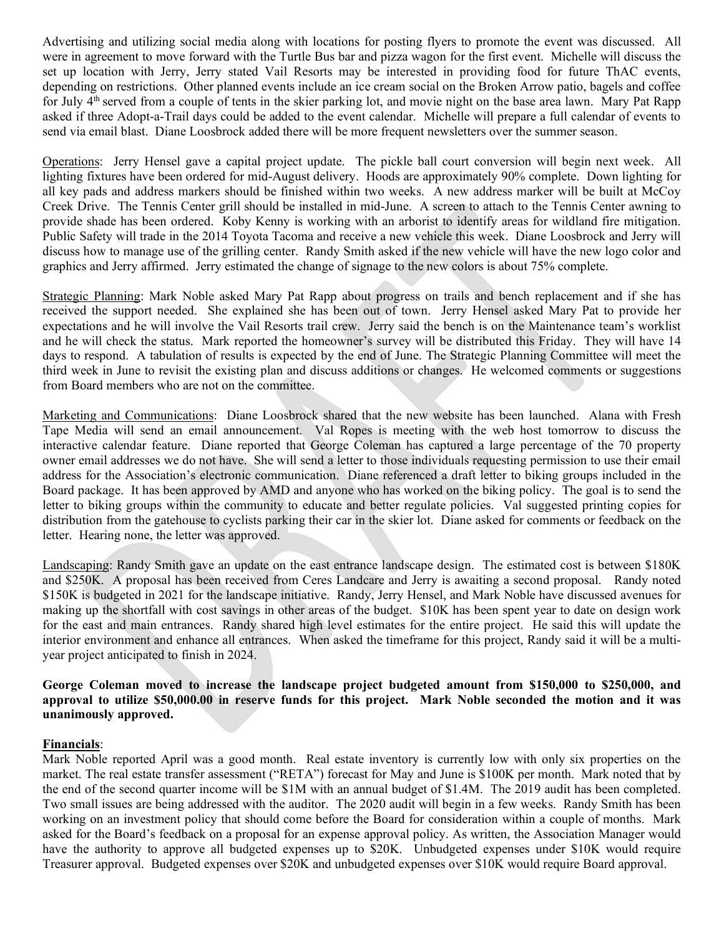Advertising and utilizing social media along with locations for posting flyers to promote the event was discussed. All were in agreement to move forward with the Turtle Bus bar and pizza wagon for the first event. Michelle will discuss the set up location with Jerry, Jerry stated Vail Resorts may be interested in providing food for future ThAC events, depending on restrictions. Other planned events include an ice cream social on the Broken Arrow patio, bagels and coffee for July 4th served from a couple of tents in the skier parking lot, and movie night on the base area lawn. Mary Pat Rapp asked if three Adopt-a-Trail days could be added to the event calendar. Michelle will prepare a full calendar of events to send via email blast. Diane Loosbrock added there will be more frequent newsletters over the summer season.

Operations: Jerry Hensel gave a capital project update. The pickle ball court conversion will begin next week. All lighting fixtures have been ordered for mid-August delivery. Hoods are approximately 90% complete. Down lighting for all key pads and address markers should be finished within two weeks. A new address marker will be built at McCoy Creek Drive. The Tennis Center grill should be installed in mid-June. A screen to attach to the Tennis Center awning to provide shade has been ordered. Koby Kenny is working with an arborist to identify areas for wildland fire mitigation. Public Safety will trade in the 2014 Toyota Tacoma and receive a new vehicle this week. Diane Loosbrock and Jerry will discuss how to manage use of the grilling center. Randy Smith asked if the new vehicle will have the new logo color and graphics and Jerry affirmed. Jerry estimated the change of signage to the new colors is about 75% complete.

Strategic Planning: Mark Noble asked Mary Pat Rapp about progress on trails and bench replacement and if she has received the support needed. She explained she has been out of town. Jerry Hensel asked Mary Pat to provide her expectations and he will involve the Vail Resorts trail crew. Jerry said the bench is on the Maintenance team's worklist and he will check the status. Mark reported the homeowner's survey will be distributed this Friday. They will have 14 days to respond. A tabulation of results is expected by the end of June. The Strategic Planning Committee will meet the third week in June to revisit the existing plan and discuss additions or changes. He welcomed comments or suggestions from Board members who are not on the committee.

Marketing and Communications: Diane Loosbrock shared that the new website has been launched. Alana with Fresh Tape Media will send an email announcement. Val Ropes is meeting with the web host tomorrow to discuss the interactive calendar feature. Diane reported that George Coleman has captured a large percentage of the 70 property owner email addresses we do not have. She will send a letter to those individuals requesting permission to use their email address for the Association's electronic communication. Diane referenced a draft letter to biking groups included in the Board package. It has been approved by AMD and anyone who has worked on the biking policy. The goal is to send the letter to biking groups within the community to educate and better regulate policies. Val suggested printing copies for distribution from the gatehouse to cyclists parking their car in the skier lot. Diane asked for comments or feedback on the letter. Hearing none, the letter was approved.

Landscaping: Randy Smith gave an update on the east entrance landscape design. The estimated cost is between \$180K and \$250K. A proposal has been received from Ceres Landcare and Jerry is awaiting a second proposal. Randy noted \$150K is budgeted in 2021 for the landscape initiative. Randy, Jerry Hensel, and Mark Noble have discussed avenues for making up the shortfall with cost savings in other areas of the budget. \$10K has been spent year to date on design work for the east and main entrances. Randy shared high level estimates for the entire project. He said this will update the interior environment and enhance all entrances. When asked the timeframe for this project, Randy said it will be a multiyear project anticipated to finish in 2024.

## **George Coleman moved to increase the landscape project budgeted amount from \$150,000 to \$250,000, and approval to utilize \$50,000.00 in reserve funds for this project. Mark Noble seconded the motion and it was unanimously approved.**

## **Financials**:

Mark Noble reported April was a good month. Real estate inventory is currently low with only six properties on the market. The real estate transfer assessment ("RETA") forecast for May and June is \$100K per month. Mark noted that by the end of the second quarter income will be \$1M with an annual budget of \$1.4M. The 2019 audit has been completed. Two small issues are being addressed with the auditor. The 2020 audit will begin in a few weeks. Randy Smith has been working on an investment policy that should come before the Board for consideration within a couple of months. Mark asked for the Board's feedback on a proposal for an expense approval policy. As written, the Association Manager would have the authority to approve all budgeted expenses up to \$20K. Unbudgeted expenses under \$10K would require Treasurer approval. Budgeted expenses over \$20K and unbudgeted expenses over \$10K would require Board approval.